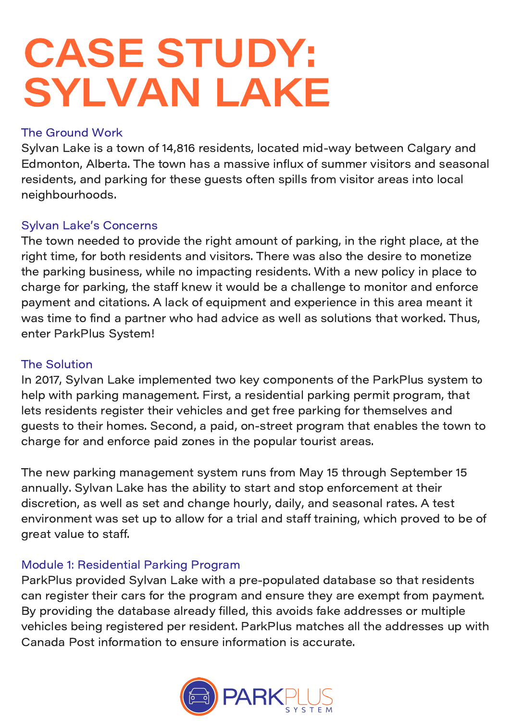# CASE STUDY: SYLVAN LAKE

## The Ground Work

Sylvan Lake is a town of 14,816 residents, located mid-way between Calgary and Edmonton, Alberta. The town has a massive influx of summer visitors and seasonal residents, and parking for these guests often spills from visitor areas into local neighbourhoods.

#### Sylvan Lake's Concerns

The town needed to provide the right amount of parking, in the right place, at the right time, for both residents and visitors. There was also the desire to monetize the parking business, while no impacting residents. With a new policy in place to charge for parking, the staff knew it would be a challenge to monitor and enforce payment and citations. A lack of equipment and experience in this area meant it was time to find a partner who had advice as well as solutions that worked. Thus, enter ParkPlus System!

#### The Solution

In 2017, Sylvan Lake implemented two key components of the ParkPlus system to help with parking management. First, a residential parking permit program, that lets residents register their vehicles and get free parking for themselves and guests to their homes. Second, a paid, on-street program that enables the town to charge for and enforce paid zones in the popular tourist areas.

The new parking management system runs from May 15 through September 15 annually. Sylvan Lake has the ability to start and stop enforcement at their discretion, as well as set and change hourly, daily, and seasonal rates. A test environment was set up to allow for a trial and staff training, which proved to be of great value to staff.

#### Module 1: Residential Parking Program

ParkPlus provided Sylvan Lake with a pre-populated database so that residents can register their cars for the program and ensure they are exempt from payment. By providing the database already filled, this avoids fake addresses or multiple vehicles being registered per resident. ParkPlus matches all the addresses up with Canada Post information to ensure information is accurate.

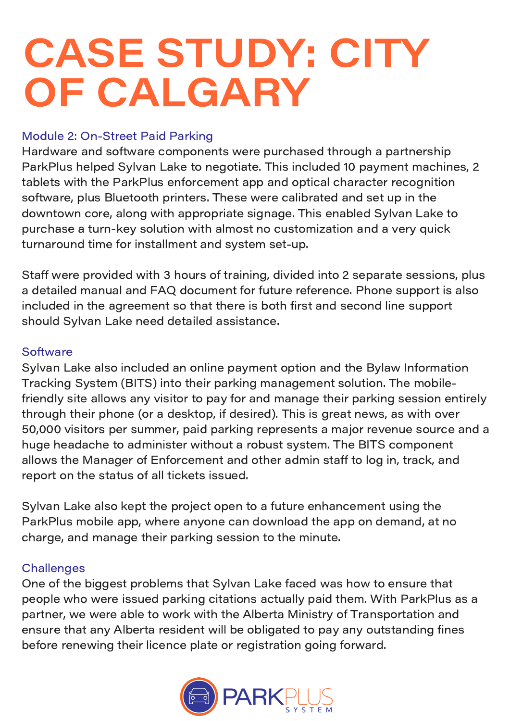# CASE STUDY: CITY OF CALGARY

## Module 2: On-Street Paid Parking

Hardware and software components were purchased through a partnership ParkPlus helped Sylvan Lake to negotiate. This included 10 payment machines, 2 tablets with the ParkPlus enforcement app and optical character recognition software, plus Bluetooth printers. These were calibrated and set up in the downtown core, along with appropriate signage. This enabled Sylvan Lake to purchase a turn-key solution with almost no customization and a very quick turnaround time for installment and system set-up.

Staff were provided with 3 hours of training, divided into 2 separate sessions, plus a detailed manual and FAQ document for future reference. Phone support is also included in the agreement so that there is both first and second line support should Sylvan Lake need detailed assistance.

## **Software**

Sylvan Lake also included an online payment option and the Bylaw Information Tracking System (BITS) into their parking management solution. The mobilefriendly site allows any visitor to pay for and manage their parking session entirely through their phone (or a desktop, if desired). This is great news, as with over 50,000 visitors per summer, paid parking represents a major revenue source and a huge headache to administer without a robust system. The BITS component allows the Manager of Enforcement and other admin staff to log in, track, and report on the status of all tickets issued.

Sylvan Lake also kept the project open to a future enhancement using the ParkPlus mobile app, where anyone can download the app on demand, at no charge, and manage their parking session to the minute.

## **Challenges**

One of the biggest problems that Sylvan Lake faced was how to ensure that people who were issued parking citations actually paid them. With ParkPlus as a partner, we were able to work with the Alberta Ministry of Transportation and ensure that any Alberta resident will be obligated to pay any outstanding fines before renewing their licence plate or registration going forward.